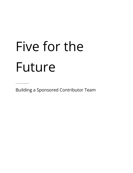# Five for the Future

\_\_\_\_\_\_\_\_\_\_\_\_\_\_

Building a Sponsored Contributor Team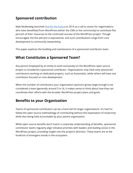# **Sponsored contribution**

Matt Mullenweg launched Five for [the Future](https://wordpress.org/five-for-the-future/) in 2014 as a call to action for organizations who have benefitted from WordPress (either the CMS or the community) to contribute five percent of their resources to the continued success of the WordPress project. Though encouraged, the five percent is aspirational, and such contributions range from core development to community stewardship.

This paper explores the building and maintenance of a sponsored contributor team.

### **What Constitutes a Sponsored Team?**

Any person employed by an entity to work exclusively on the WordPress open source project is considered a sponsored contributor. Organizations may have sixty sponsored contributors working on dedicated projects, such as Automattic, while others will have one contributor focused on core development.

When the number of contributors your organization sponsors grows large enough to be considered a team (generally around 3 or 4), it makes sense to think about how they can coordinate their efforts with the broader WordPress project plans and goals.

## **Benefits to your Organization**

Teams of sponsored contributors can be a hard sell for larger organizations. It's hard to follow the open source methodology of contributing without the expectation of reciprocity while also being held accountable by your parent organization.

While open source benefits don't match a corporate understanding of benefits, sponsored contributor teams regularly align initiative priorities with leaders and leading voices in the WordPress project, providing insight into the project's direction. These teams are at the forefront of emergent trends in the ecosystem.